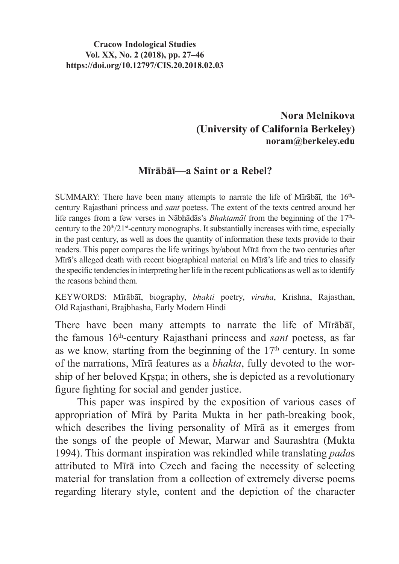## **Cracow Indological Studies Vol. XX, No. 2 (2018), pp. 27–46 https://doi.org/10.12797/CIS.20.2018.02.03**

## **Nora Melnikova (University of California Berkeley) noram@berkeley.edu**

## **Mīrābāī—a Saint or a Rebel?**

SUMMARY: There have been many attempts to narrate the life of Mīrābāī, the  $16<sup>th</sup>$ century Rajasthani princess and *sant* poetess. The extent of the texts centred around her life ranges from a few verses in Nābhādās's *Bhaktamāl* from the beginning of the 17<sup>th</sup>century to the  $20<sup>th</sup>/21<sup>st</sup>$ -century monographs. It substantially increases with time, especially in the past century, as well as does the quantity of information these texts provide to their readers. This paper compares the life writings by/about Mīrā from the two centuries after Mīrā's alleged death with recent biographical material on Mīrā's life and tries to classify the specific tendencies in interpreting her life in the recent publications as well as to identify the reasons behind them.

KEYWORDS: Mīrābāī, biography, *bhakti* poetry, *viraha*, Krishna, Rajasthan, Old Rajasthani, Brajbhasha, Early Modern Hindi

There have been many attempts to narrate the life of Mīrābāī, the famous 16th-century Rajasthani princess and *sant* poetess, as far as we know, starting from the beginning of the  $17<sup>th</sup>$  century. In some of the narrations, Mīrā features as a *bhakta*, fully devoted to the worship of her beloved Krsna; in others, she is depicted as a revolutionary figure fighting for social and gender justice.

This paper was inspired by the exposition of various cases of appropriation of Mīrā by Parita Mukta in her path-breaking book, which describes the living personality of Mīrā as it emerges from the songs of the people of Mewar, Marwar and Saurashtra (Mukta 1994). This dormant inspiration was rekindled while translating *pada*s attributed to Mīrā into Czech and facing the necessity of selecting material for translation from a collection of extremely diverse poems regarding literary style, content and the depiction of the character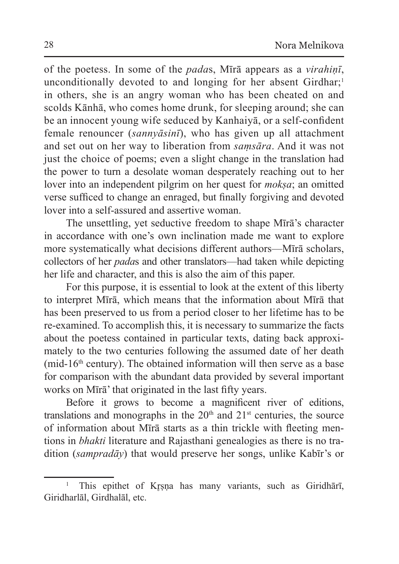of the poetess. In some of the *pada*s, Mīrā appears as a *virahiṇī*, unconditionally devoted to and longing for her absent Girdhar;<sup>1</sup> in others, she is an angry woman who has been cheated on and scolds Kānhā, who comes home drunk, for sleeping around; she can be an innocent young wife seduced by Kanhaiyā, or a self-confident female renouncer (*sannyāsinī*), who has given up all attachment and set out on her way to liberation from *saṃsāra*. And it was not just the choice of poems; even a slight change in the translation had the power to turn a desolate woman desperately reaching out to her lover into an independent pilgrim on her quest for *moksa*; an omitted verse sufficed to change an enraged, but finally forgiving and devoted lover into a self-assured and assertive woman.

The unsettling, yet seductive freedom to shape Mīrā's character in accordance with one's own inclination made me want to explore more systematically what decisions different authors—Mīrā scholars, collectors of her *pada*s and other translators—had taken while depicting her life and character, and this is also the aim of this paper.

For this purpose, it is essential to look at the extent of this liberty to interpret Mīrā, which means that the information about Mīrā that has been preserved to us from a period closer to her lifetime has to be re-examined. To accomplish this, it is necessary to summarize the facts about the poetess contained in particular texts, dating back approximately to the two centuries following the assumed date of her death (mid-16<sup>th</sup> century). The obtained information will then serve as a base for comparison with the abundant data provided by several important works on Mīrā' that originated in the last fifty years.

Before it grows to become a magnificent river of editions, translations and monographs in the  $20<sup>th</sup>$  and  $21<sup>st</sup>$  centuries, the source of information about Mīrā starts as a thin trickle with fleeting mentions in *bhakti* literature and Rajasthani genealogies as there is no tradition (*sampradāy*) that would preserve her songs, unlike Kabīr's or

<sup>&</sup>lt;sup>1</sup> This epithet of Krsna has many variants, such as Giridhārī, Giridharlāl, Girdhalāl, etc.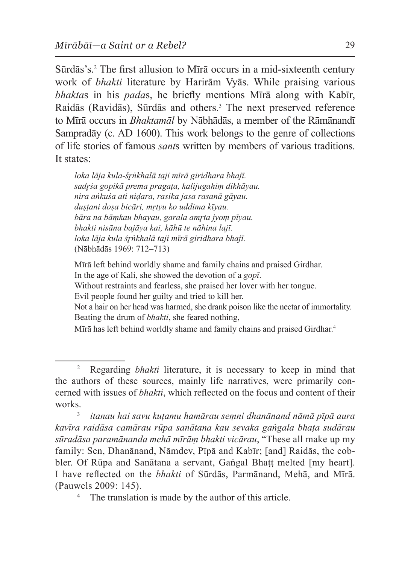Sūrdās's.<sup>2</sup> The first allusion to Mīrā occurs in a mid-sixteenth century work of *bhakti* literature by Harirām Vyās. While praising various *bhakta*s in his *pada*s, he briefly mentions Mīrā along with Kabīr, Raidās (Ravidās), Sūrdās and others.<sup>3</sup> The next preserved reference to Mīrā occurs in *Bhaktamāl* by Nābhādās, a member of the Rāmānandī Sampradāy (c. AD 1600). This work belongs to the genre of collections of life stories of famous *sant*s written by members of various traditions. It states:

*loka lāja kula-śr̥ṅkhalā taji mīrā giridhara bhajī. sadr̥śa gopikā prema pragaṭa, kalijugahiṃ dikhāyau. nira aṅkuśa ati niḍara, rasika jasa rasanā gāyau. duṣṭani doṣa bicāri, mr̥tyu ko uddima kīyau. bāra na bāṃkau bhayau, garala amr̥ta jyoṃ pīyau. bhakti nisāna bajāya kai, kāhū te nāhina lajī. loka lāja kula śr̥ṅkhalā taji mīrā giridhara bhajī.*  (Nābhādās 1969: 712–713)

Mīrā left behind worldly shame and family chains and praised Girdhar. In the age of Kali, she showed the devotion of a *gopī*. Without restraints and fearless, she praised her lover with her tongue.

Evil people found her guilty and tried to kill her.

Not a hair on her head was harmed, she drank poison like the nectar of immortality. Beating the drum of *bhakti*, she feared nothing,

Mīrā has left behind worldly shame and family chains and praised Girdhar.<sup>4</sup>

<sup>2</sup> Regarding *bhakti* literature, it is necessary to keep in mind that the authors of these sources, mainly life narratives, were primarily concerned with issues of *bhakti*, which reflected on the focus and content of their works.3 *itanau hai savu kuṭamu hamārau seṃni dhanānand nāmā pīpā aura* 

*kavīra raidāsa camārau rūpa sanātana kau sevaka gaṅgala bhaṭa sudārau sūradāsa paramānanda mehā mīrāṃ bhakti vicārau*, "These all make up my family: Sen, Dhanānand, Nāmdev, Pīpā and Kabīr; [and] Raidās, the cobbler. Of Rūpa and Sanātana a servant, Gaṅgal Bhatt melted [my heart]. I have reflected on the *bhakti* of Sūrdās, Parmānand, Mehā, and Mīrā. (Pauwels 2009: 145).

The translation is made by the author of this article.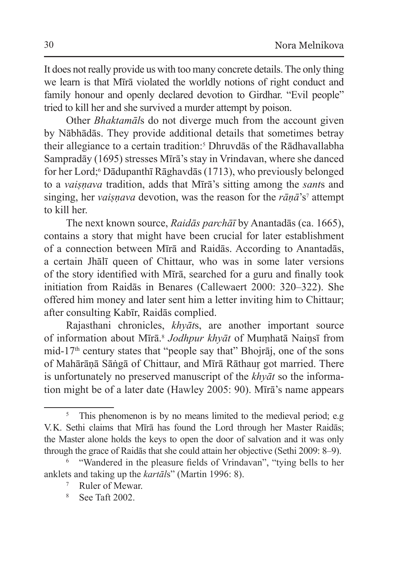It does not really provide us with too many concrete details. The only thing we learn is that Mīrā violated the worldly notions of right conduct and family honour and openly declared devotion to Girdhar. "Evil people" tried to kill her and she survived a murder attempt by poison.

Other *Bhaktamāl*s do not diverge much from the account given by Nābhādās. They provide additional details that sometimes betray their allegiance to a certain tradition:5 Dhruvdās of the Rādhavallabha Sampradāy (1695) stresses Mīrā's stay in Vrindavan, where she danced for her Lord;<sup>6</sup> Dādupanthī Rāghavdās (1713), who previously belonged to a *vaiṣṇava* tradition, adds that Mīrā's sitting among the *sant*s and singing, her *vaiṣṇava* devotion, was the reason for the *rāṇā*'s7 attempt to kill her.

The next known source, *Raidās parchāī* by Anantadās (ca. 1665), contains a story that might have been crucial for later establishment of a connection between Mīrā and Raidās. According to Anantadās, a certain Jhālī queen of Chittaur, who was in some later versions of the story identified with Mīrā, searched for a guru and finally took initiation from Raidās in Benares (Callewaert 2000: 320–322). She offered him money and later sent him a letter inviting him to Chittaur; after consulting Kabīr, Raidās complied.

Rajasthani chronicles, *khyāt*s, are another important source of information about Mīrā.<sup>8</sup> *Jodhpur khyāt* of Muṃhatā Naiṇsī from mid-17<sup>th</sup> century states that "people say that" Bhojrāj, one of the sons of Mahārāṇā Sāṅgā of Chittaur, and Mīrā Rāthauṛ got married. There is unfortunately no preserved manuscript of the *khyāt* so the information might be of a later date (Hawley 2005: 90). Mīrā's name appears

<sup>&</sup>lt;sup>5</sup> This phenomenon is by no means limited to the medieval period; e.g. V.K. Sethi claims that Mīrā has found the Lord through her Master Raidās; the Master alone holds the keys to open the door of salvation and it was only through the grace of Raidās that she could attain her objective (Sethi 2009: 8–9).

<sup>6</sup> "Wandered in the pleasure fields of Vrindavan", "tying bells to her anklets and taking up the *kartāl*s" (Martin 1996: 8).

<sup>7</sup> Ruler of Mewar.

<sup>8</sup> See Taft 2002.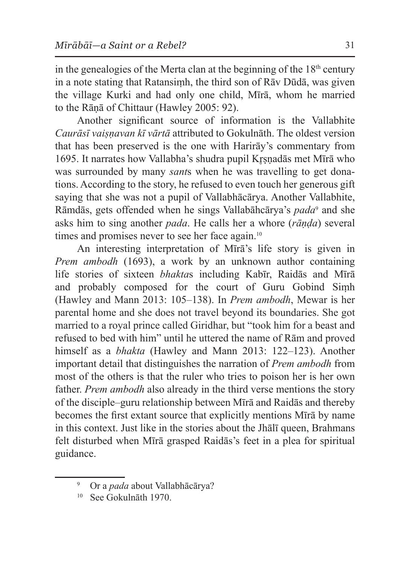in the genealogies of the Merta clan at the beginning of the  $18<sup>th</sup>$  century in a note stating that Ratansiṃh, the third son of Rāv Dūdā, was given the village Kurki and had only one child, Mīrā, whom he married to the Rāṇā of Chittaur (Hawley 2005: 92).

Another significant source of information is the Vallabhite *Caurāsī vaiṣṇavan kī vārtā* attributed to Gokulnāth. The oldest version that has been preserved is the one with Harirāy's commentary from 1695. It narrates how Vallabha's shudra pupil Kr̥ṣṇadās met Mīrā who was surrounded by many *sant*s when he was travelling to get donations. According to the story, he refused to even touch her generous gift saying that she was not a pupil of Vallabhācārya. Another Vallabhite, Rāmdās, gets offended when he sings Vallabāhcārya's *pada*<sup>9</sup> and she asks him to sing another *pada*. He calls her a whore (*rāṇḍa*) several times and promises never to see her face again.<sup>10</sup>

An interesting interpretation of Mīrā's life story is given in *Prem ambodh* (1693), a work by an unknown author containing life stories of sixteen *bhakta*s including Kabīr, Raidās and Mīrā and probably composed for the court of Guru Gobind Siṃh (Hawley and Mann 2013: 105–138). In *Prem ambodh*, Mewar is her parental home and she does not travel beyond its boundaries. She got married to a royal prince called Giridhar, but "took him for a beast and refused to bed with him" until he uttered the name of Rām and proved himself as a *bhakta* (Hawley and Mann 2013: 122–123). Another important detail that distinguishes the narration of *Prem ambodh* from most of the others is that the ruler who tries to poison her is her own father. *Prem ambodh* also already in the third verse mentions the story of the disciple–guru relationship between Mīrā and Raidās and thereby becomes the first extant source that explicitly mentions Mīrā by name in this context. Just like in the stories about the Jhālī queen, Brahmans felt disturbed when Mīrā grasped Raidās's feet in a plea for spiritual guidance.

<sup>9</sup> Or a *pada* about Vallabhācārya?

<sup>10</sup> See Gokulnāth 1970.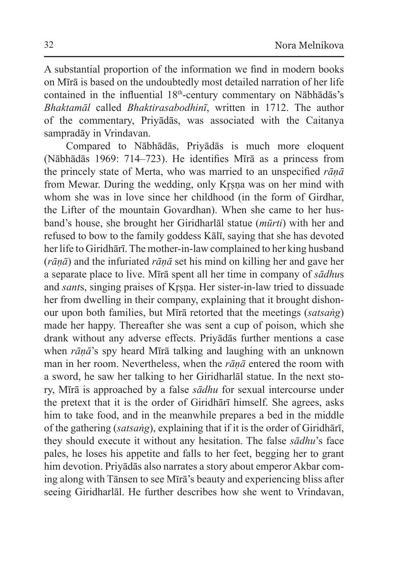A substantial proportion of the information we find in modern books on Mīrā is based on the undoubtedly most detailed narration of her life contained in the influential 18<sup>th</sup>-century commentary on Nābhādās's *Bhaktamāl* called *Bhaktirasabodhinī*, written in 1712. The author of the commentary, Priyādās, was associated with the Caitanya sampradāy in Vrindavan.

Compared to Nābhādās, Priyādās is much more eloquent (Nābhādās 1969: 714–723). He identifies Mīrā as a princess from the princely state of Merta, who was married to an unspecified *rāṇā* from Mewar. During the wedding, only Krsna was on her mind with whom she was in love since her childhood (in the form of Girdhar, the Lifter of the mountain Govardhan). When she came to her husband's house, she brought her Giridharlāl statue (*mūrti*) with her and refused to bow to the family goddess Kālī, saying that she has devoted her life to Giridhārī. The mother-in-law complained to her king husband (*rāṇā*) and the infuriated *rāṇā* set his mind on killing her and gave her a separate place to live. Mīrā spent all her time in company of *sādhu*s and *sants*, singing praises of Krsna. Her sister-in-law tried to dissuade her from dwelling in their company, explaining that it brought dishonour upon both families, but Mīrā retorted that the meetings (*satsaṅg*) made her happy. Thereafter she was sent a cup of poison, which she drank without any adverse effects. Priyādās further mentions a case when *rāṇā*'s spy heard Mīrā talking and laughing with an unknown man in her room. Nevertheless, when the *rāṇā* entered the room with a sword, he saw her talking to her Giridharlāl statue. In the next story, Mīrā is approached by a false *sādhu* for sexual intercourse under the pretext that it is the order of Giridhārī himself. She agrees, asks him to take food, and in the meanwhile prepares a bed in the middle of the gathering (*satsaṅg*), explaining that if it is the order of Giridhārī, they should execute it without any hesitation. The false *sādhu*'s face pales, he loses his appetite and falls to her feet, begging her to grant him devotion. Priyādās also narrates a story about emperor Akbar coming along with Tānsen to see Mīrā's beauty and experiencing bliss after seeing Giridharlāl. He further describes how she went to Vrindavan,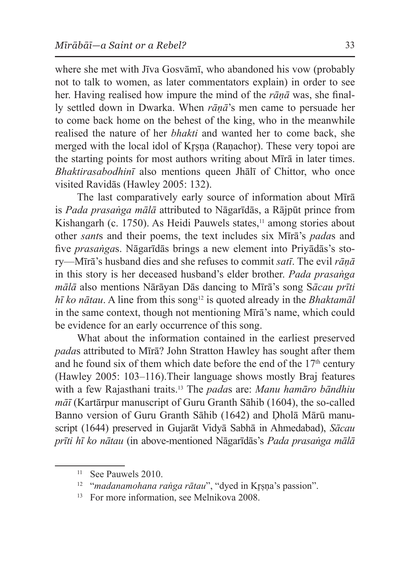where she met with Jīva Gosvāmī, who abandoned his vow (probably not to talk to women, as later commentators explain) in order to see her. Having realised how impure the mind of the *rāṇā* was, she finally settled down in Dwarka. When *rāṇā*'s men came to persuade her to come back home on the behest of the king, who in the meanwhile realised the nature of her *bhakti* and wanted her to come back, she merged with the local idol of Krsna (Ranachor). These very topoi are the starting points for most authors writing about Mīrā in later times. *Bhaktirasabodhinī* also mentions queen Jhālī of Chittor, who once visited Ravidās (Hawley 2005: 132).

The last comparatively early source of information about Mīrā is *Pada prasaṅga mālā* attributed to Nāgarīdās, a Rājpūt prince from Kishangarh (c. 1750). As Heidi Pauwels states, $\frac{11}{11}$  among stories about other *sant*s and their poems, the text includes six Mīrā's *pada*s and five *prasaṅga*s. Nāgarīdās brings a new element into Priyādās's story—Mīrā's husband dies and she refuses to commit *satī*. The evil *rāṇā*  in this story is her deceased husband's elder brother. *Pada prasaṅga mālā* also mentions Nārāyan Dās dancing to Mīrā's song S*ācau prīti hī ko nātau*. A line from this song<sup>12</sup> is quoted already in the *Bhaktamāl* in the same context, though not mentioning Mīrā's name, which could be evidence for an early occurrence of this song.

What about the information contained in the earliest preserved *pada*s attributed to Mīrā? John Stratton Hawley has sought after them and he found six of them which date before the end of the  $17<sup>th</sup>$  century (Hawley 2005: 103–116).Their language shows mostly Braj features with a few Rajasthani traits.13 The *pada*s are: *Manu hamāro bāndhiu māī* (Kartārpur manuscript of Guru Granth Sāhib (1604), the so-called Banno version of Guru Granth Sāhib (1642) and Dholā Mārū manuscript (1644) preserved in Gujarāt Vidyā Sabhā in Ahmedabad), *Sācau prīti hī ko nātau* (in above-mentioned Nāgarīdās's *Pada prasaṅga mālā* 

<sup>&</sup>lt;sup>11</sup> See Pauwels 2010.

<sup>&</sup>lt;sup>12</sup> "*madanamohana raṅga rātau*", "dyed in Kr̥ṣṇa's passion".

<sup>&</sup>lt;sup>13</sup> For more information, see Melnikova 2008.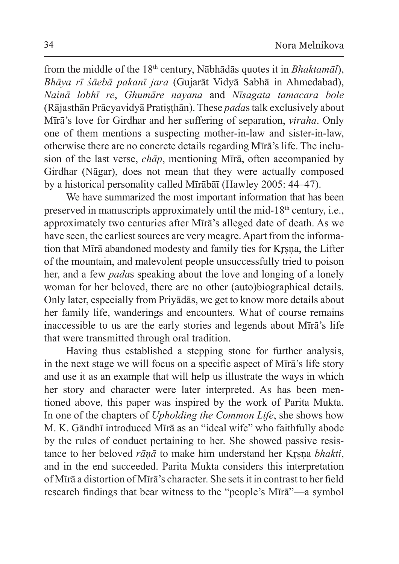from the middle of the 18th century, Nābhādās quotes it in *Bhaktamāl*), *Bhāya rī śāebā pakanī jara* (Gujarāt Vidyā Sabhā in Ahmedabad), *Nainā lobhī re*, *Ghumāre nayana* and *Nīsagata tamacara bole* (Rājasthān Prācyavidyā Pratiṣṭhān). These *pada*s talk exclusively about Mīrā's love for Girdhar and her suffering of separation, *viraha*. Only one of them mentions a suspecting mother-in-law and sister-in-law, otherwise there are no concrete details regarding Mīrā's life. The inclusion of the last verse, *chāp*, mentioning Mīrā, often accompanied by Girdhar (Nāgar), does not mean that they were actually composed by a historical personality called Mīrābāī (Hawley 2005: 44–47).

We have summarized the most important information that has been preserved in manuscripts approximately until the mid-18th century, i.e., approximately two centuries after Mīrā's alleged date of death. As we have seen, the earliest sources are very meagre. Apart from the information that Mīrā abandoned modesty and family ties for Krsna, the Lifter of the mountain, and malevolent people unsuccessfully tried to poison her, and a few *pada*s speaking about the love and longing of a lonely woman for her beloved, there are no other (auto)biographical details. Only later, especially from Priyādās, we get to know more details about her family life, wanderings and encounters. What of course remains inaccessible to us are the early stories and legends about Mīrā's life that were transmitted through oral tradition.

Having thus established a stepping stone for further analysis, in the next stage we will focus on a specific aspect of Mīrā's life story and use it as an example that will help us illustrate the ways in which her story and character were later interpreted. As has been mentioned above, this paper was inspired by the work of Parita Mukta. In one of the chapters of *Upholding the Common Life*, she shows how M. K. Gāndhī introduced Mīrā as an "ideal wife" who faithfully abode by the rules of conduct pertaining to her. She showed passive resistance to her beloved *rānā* to make him understand her Krsna *bhakti*, and in the end succeeded. Parita Mukta considers this interpretation of Mīrā a distortion of Mīrā's character. She setsit in contrast to her field research findings that bear witness to the "people's Mīrā"—a symbol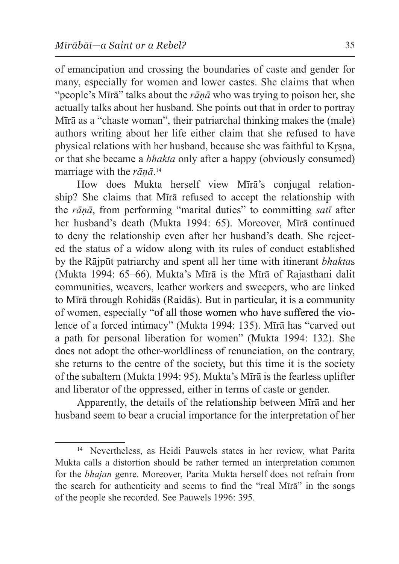of emancipation and crossing the boundaries of caste and gender for many, especially for women and lower castes. She claims that when "people's Mīrā" talks about the *rāṇā* who was trying to poison her, she actually talks about her husband. She points out that in order to portray Mīrā as a "chaste woman", their patriarchal thinking makes the (male) authors writing about her life either claim that she refused to have physical relations with her husband, because she was faithful to Krsna. or that she became a *bhakta* only after a happy (obviously consumed) marriage with the *rāṇā*. 14

How does Mukta herself view Mīrā's conjugal relationship? She claims that Mīrā refused to accept the relationship with the *rāṇā*, from performing "marital duties" to committing *satī* after her husband's death (Mukta 1994: 65). Moreover, Mīrā continued to deny the relationship even after her husband's death. She rejected the status of a widow along with its rules of conduct established by the Rājpūt patriarchy and spent all her time with itinerant *bhakta*s (Mukta 1994: 65–66). Mukta's Mīrā is the Mīrā of Rajasthani dalit communities, weavers, leather workers and sweepers, who are linked to Mīrā through Rohidās (Raidās). But in particular, it is a community of women, especially "of all those women who have suffered the violence of a forced intimacy" (Mukta 1994: 135). Mīrā has "carved out a path for personal liberation for women" (Mukta 1994: 132). She does not adopt the other-worldliness of renunciation, on the contrary, she returns to the centre of the society, but this time it is the society of the subaltern (Mukta 1994: 95). Mukta's Mīrā is the fearless uplifter and liberator of the oppressed, either in terms of caste or gender.

Apparently, the details of the relationship between Mīrā and her husband seem to bear a crucial importance for the interpretation of her

<sup>14</sup> Nevertheless, as Heidi Pauwels states in her review, what Parita Mukta calls a distortion should be rather termed an interpretation common for the *bhajan* genre. Moreover, Parita Mukta herself does not refrain from the search for authenticity and seems to find the "real Mīrā" in the songs of the people she recorded. See Pauwels 1996: 395.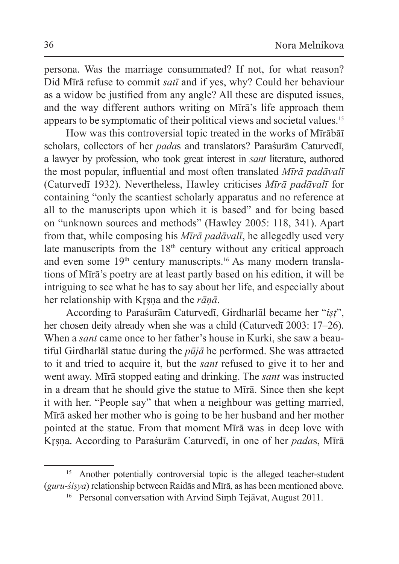persona. Was the marriage consummated? If not, for what reason? Did Mīrā refuse to commit *satī* and if yes, why? Could her behaviour as a widow be justified from any angle? All these are disputed issues, and the way different authors writing on Mīrā's life approach them appears to be symptomatic of their political views and societal values.15

How was this controversial topic treated in the works of Mīrābāī scholars, collectors of her *pada*s and translators? Paraśurām Caturvedī, a lawyer by profession, who took great interest in *sant* literature, authored the most popular, influential and most often translated *Mīrā padāvalī*  (Caturvedī 1932). Nevertheless, Hawley criticises *Mīrā padāvalī* for containing "only the scantiest scholarly apparatus and no reference at all to the manuscripts upon which it is based" and for being based on "unknown sources and methods" (Hawley 2005: 118, 341). Apart from that, while composing his *Mīrā padāvalī*, he allegedly used very late manuscripts from the  $18<sup>th</sup>$  century without any critical approach and even some 19th century manuscripts.16 As many modern translations of Mīrā's poetry are at least partly based on his edition, it will be intriguing to see what he has to say about her life, and especially about her relationship with Kr̥ṣṇa and the *rāṇā*.

According to Paraśurām Caturvedī, Girdharlāl became her "*iṣṭ*", her chosen deity already when she was a child (Caturved<del>i</del> 2003: 17–26). When a *sant* came once to her father's house in Kurki, she saw a beautiful Girdharlāl statue during the *pūjā* he performed. She was attracted to it and tried to acquire it, but the *sant* refused to give it to her and went away. Mīrā stopped eating and drinking. The *sant* was instructed in a dream that he should give the statue to Mīrā. Since then she kept it with her. "People say" that when a neighbour was getting married, Mīrā asked her mother who is going to be her husband and her mother pointed at the statue. From that moment Mīrā was in deep love with Kr̥ṣṇa. According to Paraśurām Caturvedī, in one of her *pada*s, Mīrā

<sup>&</sup>lt;sup>15</sup> Another potentially controversial topic is the alleged teacher-student (*guru*-*śiṣya*) relationship between Raidās and Mīrā, as has been mentioned above.

<sup>16</sup> Personal conversation with Arvind Siṃh Tejāvat, August 2011.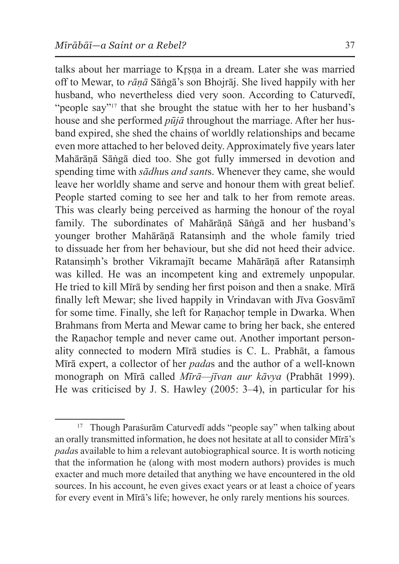talks about her marriage to Krsna in a dream. Later she was married off to Mewar, to *rāṇā* Sāṅgā's son Bhojrāj. She lived happily with her husband, who nevertheless died very soon. According to Caturvedī, "people say"<sup>17</sup> that she brought the statue with her to her husband's house and she performed *pūjā* throughout the marriage. After her husband expired, she shed the chains of worldly relationships and became even more attached to her beloved deity. Approximately five years later Mahārāṇā Sāṅgā died too. She got fully immersed in devotion and spending time with *sādhu*s *and sant*s. Whenever they came, she would leave her worldly shame and serve and honour them with great belief. People started coming to see her and talk to her from remote areas. This was clearly being perceived as harming the honour of the royal family. The subordinates of Mahārāṇā Sāṅgā and her husband's younger brother Mahārāṇā Ratansiṃh and the whole family tried to dissuade her from her behaviour, but she did not heed their advice. Ratansiṃh's brother Vikramajīt became Mahārāṇā after Ratansiṃh was killed. He was an incompetent king and extremely unpopular. He tried to kill Mīrā by sending her first poison and then a snake. Mīrā finally left Mewar; she lived happily in Vrindavan with Jīva Gosvāmī for some time. Finally, she left for Ranachor temple in Dwarka. When Brahmans from Merta and Mewar came to bring her back, she entered the Raṇachoṛ temple and never came out. Another important personality connected to modern Mīrā studies is C. L. Prabhāt, a famous Mīrā expert, a collector of her *pada*s and the author of a well-known monograph on Mīrā called *Mīrā—jīvan aur kāvya* (Prabhāt 1999). He was criticised by J. S. Hawley (2005: 3–4), in particular for his

<sup>17</sup> Though Paraśurām Caturvedī adds "people say" when talking about an orally transmitted information, he does not hesitate at all to consider Mīrā's *pada*s available to him a relevant autobiographical source. It is worth noticing that the information he (along with most modern authors) provides is much exacter and much more detailed that anything we have encountered in the old sources. In his account, he even gives exact years or at least a choice of years for every event in Mīrā's life; however, he only rarely mentions his sources.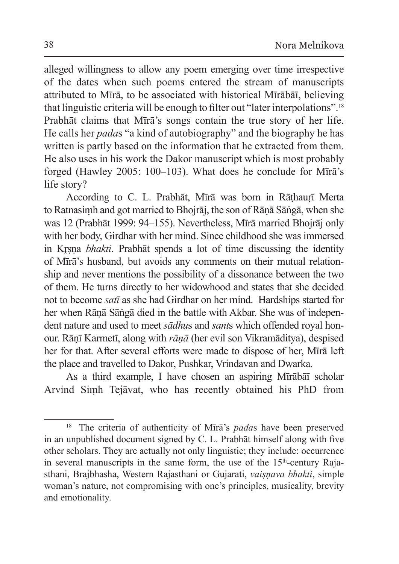alleged willingness to allow any poem emerging over time irrespective of the dates when such poems entered the stream of manuscripts attributed to Mīrā, to be associated with historical Mīrābāī, believing that linguistic criteria will be enough to filter out "later interpolations".<sup>18</sup> Prabhāt claims that Mīrā's songs contain the true story of her life. He calls her *pada*s "a kind of autobiography" and the biography he has written is partly based on the information that he extracted from them. He also uses in his work the Dakor manuscript which is most probably forged (Hawley 2005: 100–103). What does he conclude for Mīrā's life story?

According to C. L. Prabhāt, Mīrā was born in Rāthaurī Merta to Ratnasiṃh and got married to Bhojrāj, the son of Rāṇā Sāṅgā, when she was 12 (Prabhāt 1999: 94–155). Nevertheless, Mīrā married Bhojrāj only with her body, Girdhar with her mind. Since childhood she was immersed in Kr̥ṣṇa *bhakti*. Prabhāt spends a lot of time discussing the identity of Mīrā's husband, but avoids any comments on their mutual relationship and never mentions the possibility of a dissonance between the two of them. He turns directly to her widowhood and states that she decided not to become *satī* as she had Girdhar on her mind. Hardships started for her when Rāṇā Sāṅgā died in the battle with Akbar. She was of independent nature and used to meet *sādhu*s and *sant*s which offended royal honour. Rāṇī Karmetī, along with *rāṇā* (her evil son Vikramāditya), despised her for that. After several efforts were made to dispose of her, Mīrā left the place and travelled to Dakor, Pushkar, Vrindavan and Dwarka.

As a third example, I have chosen an aspiring Mīrābāī scholar Arvind Siṃh Tejāvat, who has recently obtained his PhD from

<sup>18</sup> The criteria of authenticity of Mīrā's *pada*s have been preserved in an unpublished document signed by C. L. Prabhāt himself along with five other scholars. They are actually not only linguistic; they include: occurrence in several manuscripts in the same form, the use of the  $15<sup>th</sup>$ -century Rajasthani, Brajbhasha, Western Rajasthani or Gujarati, *vaiṣṇava bhakti*, simple woman's nature, not compromising with one's principles, musicality, brevity and emotionality.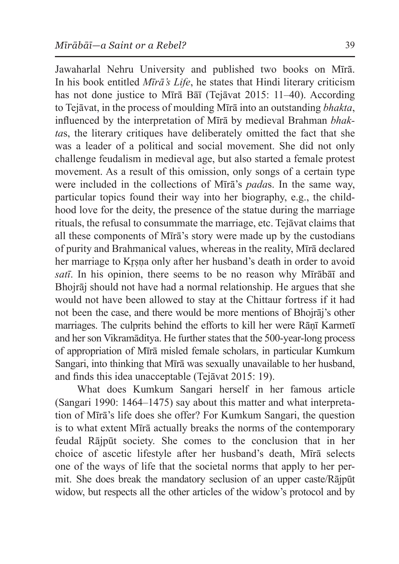Jawaharlal Nehru University and published two books on Mīrā. In his book entitled *Mīrā's Life*, he states that Hindi literary criticism has not done justice to Mīrā Bāī (Tejāvat 2015: 11–40). According to Tejāvat, in the process of moulding Mīrā into an outstanding *bhakta*, influenced by the interpretation of Mīrā by medieval Brahman *bhakta*s, the literary critiques have deliberately omitted the fact that she was a leader of a political and social movement. She did not only challenge feudalism in medieval age, but also started a female protest movement. As a result of this omission, only songs of a certain type were included in the collections of Mīrā's *pada*s. In the same way, particular topics found their way into her biography, e.g., the childhood love for the deity, the presence of the statue during the marriage rituals, the refusal to consummate the marriage, etc. Tejāvat claims that all these components of Mīrā's story were made up by the custodians of purity and Brahmanical values, whereas in the reality, Mīrā declared her marriage to Krsna only after her husband's death in order to avoid *satī*. In his opinion, there seems to be no reason why Mīrābāī and Bhojrāj should not have had a normal relationship. He argues that she would not have been allowed to stay at the Chittaur fortress if it had not been the case, and there would be more mentions of Bhojrāj's other marriages. The culprits behind the efforts to kill her were Rāṇī Karmetī and her son Vikramāditya. He further states that the 500-year-long process of appropriation of Mīrā misled female scholars, in particular Kumkum Sangari, into thinking that Mīrā was sexually unavailable to her husband, and finds this idea unacceptable (Tejāvat 2015: 19).

What does Kumkum Sangari herself in her famous article (Sangari 1990: 1464–1475) say about this matter and what interpretation of Mīrā's life does she offer? For Kumkum Sangari, the question is to what extent Mīrā actually breaks the norms of the contemporary feudal Rājpūt society. She comes to the conclusion that in her choice of ascetic lifestyle after her husband's death, Mīrā selects one of the ways of life that the societal norms that apply to her permit. She does break the mandatory seclusion of an upper caste/Rājpūt widow, but respects all the other articles of the widow's protocol and by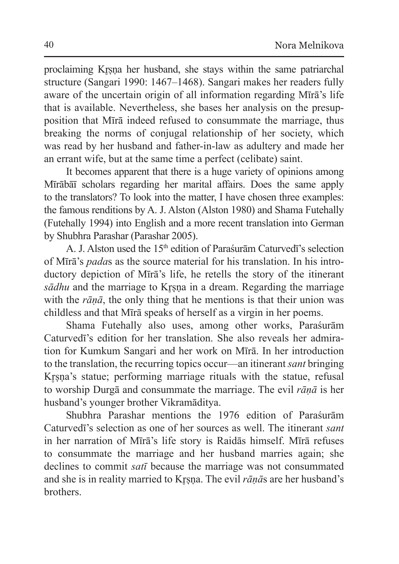proclaiming Kr̥ṣṇa her husband, she stays within the same patriarchal structure (Sangari 1990: 1467–1468). Sangari makes her readers fully aware of the uncertain origin of all information regarding Mīrā's life that is available. Nevertheless, she bases her analysis on the presupposition that Mīrā indeed refused to consummate the marriage, thus breaking the norms of conjugal relationship of her society, which was read by her husband and father-in-law as adultery and made her an errant wife, but at the same time a perfect (celibate) saint.

It becomes apparent that there is a huge variety of opinions among Mīrābāī scholars regarding her marital affairs. Does the same apply to the translators? To look into the matter, I have chosen three examples: the famous renditions by A. J. Alston (Alston 1980) and Shama Futehally (Futehally 1994) into English and a more recent translation into German by Shubhra Parashar (Parashar 2005).

A. J. Alston used the 15th edition of Paraśurām Caturvedī's selection of Mīrā's *pada*s as the source material for his translation. In his introductory depiction of Mīrā's life, he retells the story of the itinerant *sādhu* and the marriage to Krsna in a dream. Regarding the marriage with the *rāṇā*, the only thing that he mentions is that their union was childless and that Mīrā speaks of herself as a virgin in her poems.

Shama Futehally also uses, among other works, Paraśurām Caturvedī's edition for her translation. She also reveals her admiration for Kumkum Sangari and her work on Mīrā. In her introduction to the translation, the recurring topics occur—an itinerant *sant* bringing Krsna's statue; performing marriage rituals with the statue, refusal to worship Durgā and consummate the marriage. The evil *rāṇā* is her husband's younger brother Vikramāditya.

Shubhra Parashar mentions the 1976 edition of Paraśurām Caturvedī's selection as one of her sources as well. The itinerant *sant* in her narration of Mīrā's life story is Raidās himself. Mīrā refuses to consummate the marriage and her husband marries again; she declines to commit *satī* because the marriage was not consummated and she is in reality married to Kr̥ṣṇa. The evil *rāṇā*s are her husband's brothers.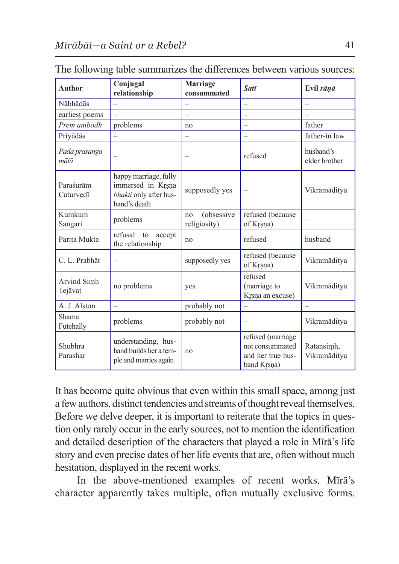| <b>Author</b>                       | Conjugal<br>relationship                                                             | <b>Marriage</b><br>consummated   | Satī                                                                     | Evil rāņā                  |
|-------------------------------------|--------------------------------------------------------------------------------------|----------------------------------|--------------------------------------------------------------------------|----------------------------|
| Nābhādās                            |                                                                                      |                                  | $\overline{\phantom{0}}$                                                 |                            |
| earliest poems                      |                                                                                      |                                  |                                                                          |                            |
| Prem ambodh                         | problems                                                                             | no                               | $\overline{\phantom{0}}$                                                 | father                     |
| Priyādās                            |                                                                                      |                                  |                                                                          | father-in law              |
| Pada prasanga<br>$m\bar{a}l\bar{a}$ |                                                                                      |                                  | refused                                                                  | husband's<br>elder brother |
| Paraśurām<br>Caturvedī              | happy marriage, fully<br>immersed in Krsna<br>bhakti only after hus-<br>band's death | supposedly yes                   |                                                                          | Vikramāditva               |
| Kumkum<br>Sangari                   | problems                                                                             | (obsessive<br>no<br>religiosity) | refused (because<br>of Krsna)                                            |                            |
| Parita Mukta                        | refusal to<br>accept<br>the relationship                                             | no                               | refused                                                                  | husband                    |
| C. L. Prabhāt                       | $\overline{\phantom{0}}$                                                             | supposedly yes                   | refused (because<br>of Krsna)                                            | Vikramāditva               |
| Arvind Simh<br>Tejāvat              | no problems                                                                          | yes                              | refused<br>(marriage to<br>Krsna an excuse)                              | Vikramāditva               |
| A. J. Alston                        | L,                                                                                   | probably not                     | <u>.</u>                                                                 | $\equiv$                   |
| Shama<br>Futehally                  | problems                                                                             | probably not                     | -                                                                        | Vikramāditva               |
| Shubhra<br>Parashar                 | understanding, hus-<br>band builds her a tem-<br>ple and marries again               | no                               | refused (marriage<br>not consummated<br>and her true hus-<br>band Krsna) | Ratansimh,<br>Vikramāditya |

The following table summarizes the differences between various sources:

It has become quite obvious that even within this small space, among just a few authors, distinct tendencies and streams of thought reveal themselves. Before we delve deeper, it is important to reiterate that the topics in question only rarely occur in the early sources, not to mention the identification and detailed description of the characters that played a role in Mīrā's life story and even precise dates of her life events that are, often without much hesitation, displayed in the recent works.

In the above-mentioned examples of recent works, Mīrā's character apparently takes multiple, often mutually exclusive forms.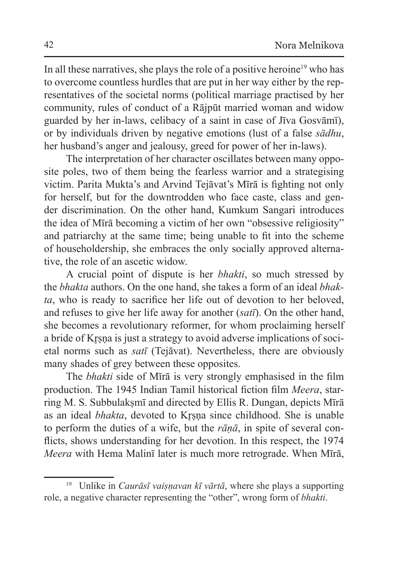In all these narratives, she plays the role of a positive heroine<sup>19</sup> who has to overcome countless hurdles that are put in her way either by the representatives of the societal norms (political marriage practised by her community, rules of conduct of a Rājpūt married woman and widow guarded by her in-laws, celibacy of a saint in case of Jīva Gosvāmī), or by individuals driven by negative emotions (lust of a false *sādhu*, her husband's anger and jealousy, greed for power of her in-laws).

The interpretation of her character oscillates between many opposite poles, two of them being the fearless warrior and a strategising victim. Parita Mukta's and Arvind Tejāvat's Mīrā is fighting not only for herself, but for the downtrodden who face caste, class and gender discrimination. On the other hand, Kumkum Sangari introduces the idea of Mīrā becoming a victim of her own "obsessive religiosity" and patriarchy at the same time; being unable to fit into the scheme of householdership, she embraces the only socially approved alternative, the role of an ascetic widow.

A crucial point of dispute is her *bhakti*, so much stressed by the *bhakta* authors. On the one hand, she takes a form of an ideal *bhakta*, who is ready to sacrifice her life out of devotion to her beloved, and refuses to give her life away for another (*satī*). On the other hand, she becomes a revolutionary reformer, for whom proclaiming herself a bride of Krsna is just a strategy to avoid adverse implications of societal norms such as *satī* (Tejāvat). Nevertheless, there are obviously many shades of grey between these opposites.

The *bhakti* side of Mīrā is very strongly emphasised in the film production. The 1945 Indian Tamil historical fiction film *Meera*, starring M. S. Subbulakṣmī and directed by Ellis R. Dungan, depicts Mīrā as an ideal *bhakta*, devoted to Krsna since childhood. She is unable to perform the duties of a wife, but the *rāṇā*, in spite of several conflicts, shows understanding for her devotion. In this respect, the 1974 *Meera* with Hema Malinī later is much more retrograde. When Mīrā,

<sup>19</sup> Unlike in *Caurāsī vaiṣṇavan kī vārtā*, where she plays a supporting role, a negative character representing the "other", wrong form of *bhakti*.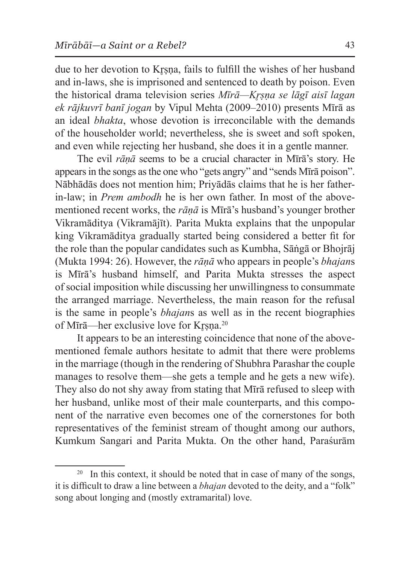due to her devotion to Krsna, fails to fulfill the wishes of her husband and in-laws, she is imprisoned and sentenced to death by poison. Even the historical drama television series *Mīrā—Kr̥ṣṇa se lāgī aisī lagan ek rājkuvrī banī jogan* by Vipul Mehta (2009–2010) presents Mīrā as an ideal *bhakta*, whose devotion is irreconcilable with the demands of the householder world; nevertheless, she is sweet and soft spoken, and even while rejecting her husband, she does it in a gentle manner.

The evil *rāṇā* seems to be a crucial character in Mīrā's story. He appearsin the songs asthe one who "gets angry" and "sends Mīrā poison". Nābhādās does not mention him; Priyādās claims that he is her fatherin-law; in *Prem ambodh* he is her own father. In most of the abovementioned recent works, the *rāṇā* is Mīrā's husband's younger brother Vikramāditya (Vikramājīt). Parita Mukta explains that the unpopular king Vikramāditya gradually started being considered a better fit for the role than the popular candidates such as Kumbha, Sāṅgā or Bhojrāj (Mukta 1994: 26). However, the *rāṇā* who appears in people's *bhajan*s is Mīrā's husband himself, and Parita Mukta stresses the aspect of social imposition while discussing her unwillingness to consummate the arranged marriage. Nevertheless, the main reason for the refusal is the same in people's *bhajan*s as well as in the recent biographies of Mīrā—her exclusive love for Krsna.<sup>20</sup>

It appears to be an interesting coincidence that none of the abovementioned female authors hesitate to admit that there were problems in the marriage (though in the rendering of Shubhra Parashar the couple manages to resolve them—she gets a temple and he gets a new wife). They also do not shy away from stating that Mīrā refused to sleep with her husband, unlike most of their male counterparts, and this component of the narrative even becomes one of the cornerstones for both representatives of the feminist stream of thought among our authors, Kumkum Sangari and Parita Mukta. On the other hand, Paraśurām

<sup>&</sup>lt;sup>20</sup> In this context, it should be noted that in case of many of the songs, it is difficult to draw a line between a *bhajan* devoted to the deity, and a "folk" song about longing and (mostly extramarital) love.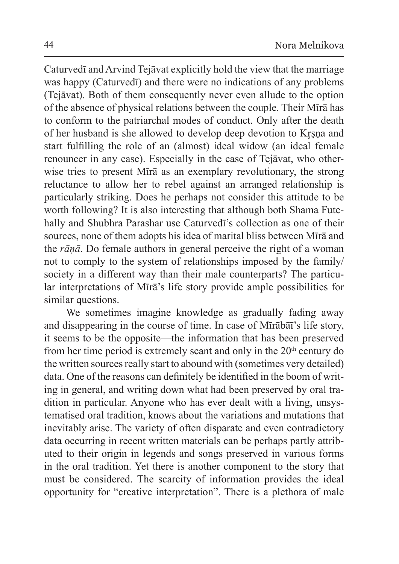Caturvedī and Arvind Tejāvat explicitly hold the view that the marriage was happy (Caturvedī) and there were no indications of any problems (Tejāvat). Both of them consequently never even allude to the option of the absence of physical relations between the couple. Their Mīrā has to conform to the patriarchal modes of conduct. Only after the death of her husband is she allowed to develop deep devotion to Krsna and start fulfilling the role of an (almost) ideal widow (an ideal female renouncer in any case). Especially in the case of Tejāvat, who otherwise tries to present Mīrā as an exemplary revolutionary, the strong reluctance to allow her to rebel against an arranged relationship is particularly striking. Does he perhaps not consider this attitude to be worth following? It is also interesting that although both Shama Futehally and Shubhra Parashar use Caturvedī's collection as one of their sources, none of them adopts his idea of marital bliss between Mīrā and the *rāṇā*. Do female authors in general perceive the right of a woman not to comply to the system of relationships imposed by the family/ society in a different way than their male counterparts? The particular interpretations of Mīrā's life story provide ample possibilities for similar questions.

We sometimes imagine knowledge as gradually fading away and disappearing in the course of time. In case of Mīrābāī's life story, it seems to be the opposite—the information that has been preserved from her time period is extremely scant and only in the  $20<sup>th</sup>$  century do the written sources really start to abound with (sometimes very detailed) data. One of the reasons can definitely be identified in the boom of writing in general, and writing down what had been preserved by oral tradition in particular. Anyone who has ever dealt with a living, unsystematised oral tradition, knows about the variations and mutations that inevitably arise. The variety of often disparate and even contradictory data occurring in recent written materials can be perhaps partly attributed to their origin in legends and songs preserved in various forms in the oral tradition. Yet there is another component to the story that must be considered. The scarcity of information provides the ideal opportunity for "creative interpretation". There is a plethora of male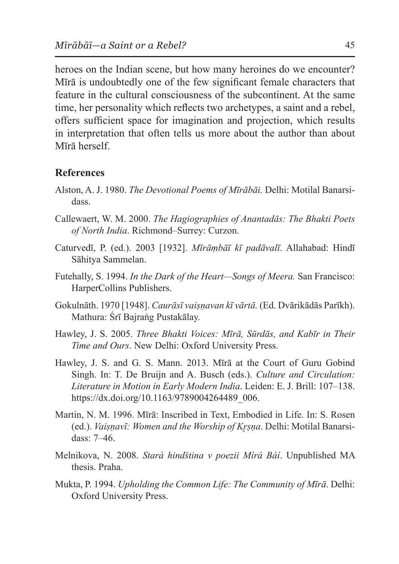heroes on the Indian scene, but how many heroines do we encounter? Mīrā is undoubtedly one of the few significant female characters that feature in the cultural consciousness of the subcontinent. At the same time, her personality which reflects two archetypes, a saint and a rebel, offers sufficient space for imagination and projection, which results in interpretation that often tells us more about the author than about Mīrā herself.

## **References**

- Alston, A. J. 1980. *The Devotional Poems of Mīrābāi.* Delhi: Motilal Banarsidass.
- Callewaert, W. M. 2000. *The Hagiographies of Anantadās: The Bhakti Poets of North India*. Richmond–Surrey: Curzon.
- Caturvedī, P. (ed.). 2003 [1932]. *Mīrāṃbāī kī padāvalī*. Allahabad: Hindī Sāhitya Sammelan.
- Futehally, S. 1994. *In the Dark of the Heart—Songs of Meera.* San Francisco: HarperCollins Publishers.
- Gokulnāth. 1970 [1948]. *Caurāsī vaiṣṇavan kī vārtā.* (Ed. Dvārikādās Parīkh). Mathura: Śrī Bajraṅg Pustakālay.
- Hawley, J. S. 2005. *Three Bhakti Voices: Mīrā, Sūrdās, and Kabīr in Their Time and Ours*. New Delhi: Oxford University Press.
- Hawley, J. S. and G. S. Mann. 2013. Mīrā at the Court of Guru Gobind Singh. In: T. De Bruijn and A. Busch (eds.). *Culture and Circulation: Literature in Motion in Early Modern India*. Leiden: E. J. Brill: 107–138. https://dx.doi.org/10.1163/9789004264489\_006.
- Martin, N. M. 1996. Mīrā: Inscribed in Text, Embodied in Life. In: S. Rosen (ed.). *Vaiṣṇavī: Women and the Worship of Kr̥ṣṇa*. Delhi: Motilal Banarsidass: 7–46.
- Melnikova, N. 2008. *Stará hindština v poezii Mírá Báí*. Unpublished MA thesis. Praha.
- Mukta, P. 1994. *Upholding the Common Life: The Community of Mīrā*. Delhi: Oxford University Press.